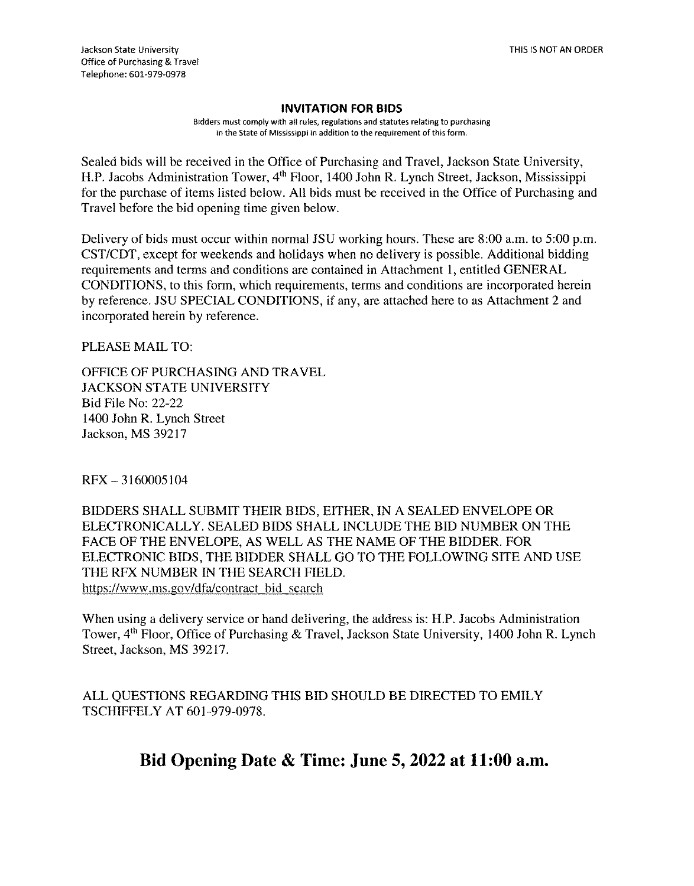## INVITATION FOR BIDS

Bidders must comply with all rules, regulations and statutes relating to purchasing in the State of Mississippi in addition to the requirement of this form.

Sealed bids will be received in the Office of Purchasing and Travel, Jackson State University, H.P. Jacobs Administration Tower, 4'h Floor, 1400 John R. Lynch Street, Jackson, Mississippi for the purchase of items listed below. All bids must be received in the Office of Purchasing and Travel before the bid opening time given below.

Delivery of bids must occur within normal JSU working hours. These are 8:00 a.m. to 5:00 p.m. CST/CDT, except for weekends and holidays when no delivery is possible. Additional bidding requirements and terms and conditions are contained in Attachment 1, entitled GENERAL CONDITIONS, to this form, which requirements, terms and conditions are incorporated herein by reference. JSU SPECIAL CONDITIONS, if any, are attached here to as Attachment 2 and incorporated herein by reference.

PLEASE MAIL TO:

OFFICE OF PURCHASING AND TRAVEL JACKSON STATE UNIVERSITY Bid File No: 22-22 1400 John R. Lynch Street Jackson, MS 39217

RFX — 31 60005104

BIDDERS SHALL SUBMIT THEIR BIDS, EITHER, IN A SEALED ENVELOPE OR ELECTRONICALLY. SEALED BIDS SHALL INCLUDE THE BID NUMBER ON THE FACE OF THE ENVELOPE, AS WELL AS THE NAME OF THE BIDDER. FOR ELECTRONIC BIDS, THE BIDDER SHALL GO TO THE FOLLOWING SITE AND USE THE RFX NUMBER IN THE SEARCH FIELD. https://www.ms.gov/dfa/contract bid search

When using a delivery service or hand delivering, the address is: H.P. Jacobs Administration Tower, 4<sup>th</sup> Floor, Office of Purchasing & Travel, Jackson State University, 1400 John R. Lynch Street, Jackson, MS 39217.

ALL QUESTIONS REGARDING THIS BID SHOULD BE DIRECTED TO EMILY TSCHIFFELY AT 601-979-0978.

Bid Opening Date & Time: June 5, 2022 at 11:00 a.m.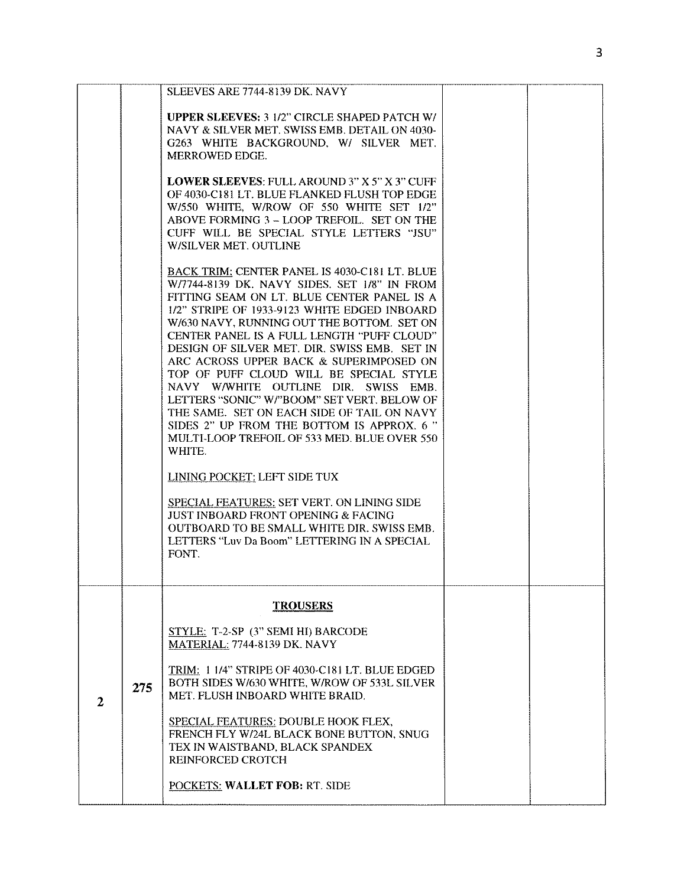|              |     | SLEEVES ARE 7744-8139 DK, NAVY<br><b>UPPER SLEEVES: 3 1/2" CIRCLE SHAPED PATCH W/</b><br>NAVY & SILVER MET. SWISS EMB. DETAIL ON 4030-<br>G263 WHITE BACKGROUND, W/ SILVER MET.<br>MERROWED EDGE.                                                                                                                                                                                                                                                                                                                                                                                                                                                                                                                                                                                                                                                                                                                       |  |
|--------------|-----|-------------------------------------------------------------------------------------------------------------------------------------------------------------------------------------------------------------------------------------------------------------------------------------------------------------------------------------------------------------------------------------------------------------------------------------------------------------------------------------------------------------------------------------------------------------------------------------------------------------------------------------------------------------------------------------------------------------------------------------------------------------------------------------------------------------------------------------------------------------------------------------------------------------------------|--|
|              |     | <b>LOWER SLEEVES: FULL AROUND 3" X 5" X 3" CUFF</b><br>OF 4030-C181 LT. BLUE FLANKED FLUSH TOP EDGE<br>W/550 WHITE, W/ROW OF 550 WHITE SET 1/2"<br>ABOVE FORMING 3 - LOOP TREFOIL. SET ON THE<br>CUFF WILL BE SPECIAL STYLE LETTERS "JSU"<br>W/SILVER MET. OUTLINE                                                                                                                                                                                                                                                                                                                                                                                                                                                                                                                                                                                                                                                      |  |
|              |     | BACK TRIM: CENTER PANEL IS 4030-C181 LT. BLUE<br>W/7744-8139 DK. NAVY SIDES. SET 1/8" IN FROM<br>FITTING SEAM ON LT. BLUE CENTER PANEL IS A<br>1/2" STRIPE OF 1933-9123 WHITE EDGED INBOARD<br>W/630 NAVY, RUNNING OUT THE BOTTOM. SET ON<br>CENTER PANEL IS A FULL LENGTH "PUFF CLOUD"<br>DESIGN OF SILVER MET. DIR, SWISS EMB. SET IN<br>ARC ACROSS UPPER BACK & SUPERIMPOSED ON<br>TOP OF PUFF CLOUD WILL BE SPECIAL STYLE<br>NAVY W/WHITE OUTLINE DIR. SWISS EMB.<br>LETTERS "SONIC" W/"BOOM" SET VERT. BELOW OF<br>THE SAME. SET ON EACH SIDE OF TAIL ON NAVY<br>SIDES 2" UP FROM THE BOTTOM IS APPROX. 6"<br>MULTI-LOOP TREFOIL OF 533 MED. BLUE OVER 550<br>WHITE.<br><b>LINING POCKET: LEFT SIDE TUX</b><br>SPECIAL FEATURES: SET VERT. ON LINING SIDE<br><b>JUST INBOARD FRONT OPENING &amp; FACING</b><br>OUTBOARD TO BE SMALL WHITE DIR. SWISS EMB.<br>LETTERS "Luv Da Boom" LETTERING IN A SPECIAL<br>FONT. |  |
|              |     | <b>TROUSERS</b>                                                                                                                                                                                                                                                                                                                                                                                                                                                                                                                                                                                                                                                                                                                                                                                                                                                                                                         |  |
| $\mathbf{2}$ |     | STYLE: T-2-SP (3" SEMI HI) BARCODE<br><b>MATERIAL: 7744-8139 DK. NAVY</b>                                                                                                                                                                                                                                                                                                                                                                                                                                                                                                                                                                                                                                                                                                                                                                                                                                               |  |
|              | 275 | TRIM: 1 1/4" STRIPE OF 4030-C181 LT. BLUE EDGED<br>BOTH SIDES W/630 WHITE, W/ROW OF 533L SILVER<br>MET. FLUSH INBOARD WHITE BRAID.                                                                                                                                                                                                                                                                                                                                                                                                                                                                                                                                                                                                                                                                                                                                                                                      |  |
|              |     | <b>SPECIAL FEATURES: DOUBLE HOOK FLEX,</b><br>FRENCH FLY W/24L BLACK BONE BUTTON, SNUG<br>TEX IN WAISTBAND, BLACK SPANDEX<br><b>REINFORCED CROTCH</b>                                                                                                                                                                                                                                                                                                                                                                                                                                                                                                                                                                                                                                                                                                                                                                   |  |
|              |     | POCKETS: WALLET FOB: RT. SIDE                                                                                                                                                                                                                                                                                                                                                                                                                                                                                                                                                                                                                                                                                                                                                                                                                                                                                           |  |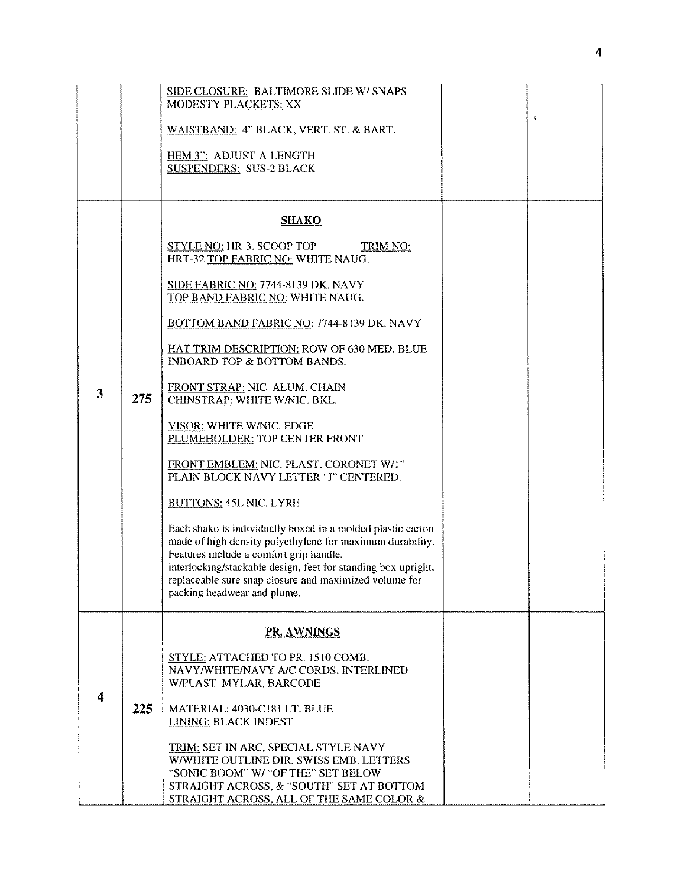|                         |     | SIDE CLOSURE: BALTIMORE SLIDE W/ SNAPS<br><b>MODESTY PLACKETS: XX</b>                                                    |   |
|-------------------------|-----|--------------------------------------------------------------------------------------------------------------------------|---|
|                         |     | WAISTBAND: 4" BLACK, VERT. ST. & BART.                                                                                   | 瓮 |
|                         |     | HEM 3": ADJUST-A-LENGTH<br><b>SUSPENDERS: SUS-2 BLACK</b>                                                                |   |
|                         |     |                                                                                                                          |   |
|                         |     | <b>SHAKO</b>                                                                                                             |   |
|                         | 275 | <b>STYLE NO: HR-3. SCOOP TOP</b><br><b>TRIM NO:</b><br>HRT-32 TOP FABRIC NO: WHITE NAUG.                                 |   |
|                         |     | SIDE FABRIC NO: 7744-8139 DK. NAVY<br>TOP BAND FABRIC NO: WHITE NAUG.                                                    |   |
|                         |     | BOTTOM BAND FABRIC NO: 7744-8139 DK. NAVY                                                                                |   |
|                         |     | HAT TRIM DESCRIPTION: ROW OF 630 MED. BLUE<br><b>INBOARD TOP &amp; BOTTOM BANDS.</b>                                     |   |
| 3                       |     | FRONT STRAP: NIC. ALUM. CHAIN<br><b>CHINSTRAP: WHITE W/NIC. BKL.</b>                                                     |   |
|                         |     | <b>VISOR: WHITE W/NIC. EDGE</b><br>PLUMEHOLDER: TOP CENTER FRONT                                                         |   |
|                         |     | FRONT EMBLEM: NIC. PLAST. CORONET W/I"<br>PLAIN BLOCK NAVY LETTER "J" CENTERED.                                          |   |
|                         |     | <b>BUTTONS: 45L NIC. LYRE</b>                                                                                            |   |
|                         |     | Each shako is individually boxed in a molded plastic carton<br>made of high density polyethylene for maximum durability. |   |
|                         |     | Features include a comfort grip handle,                                                                                  |   |
|                         |     | interlocking/stackable design, feet for standing box upright,<br>replaceable sure snap closure and maximized volume for  |   |
|                         |     | packing headwear and plume.                                                                                              |   |
|                         |     | <b>PR. AWNINGS</b>                                                                                                       |   |
|                         | 225 | STYLE: ATTACHED TO PR. 1510 COMB.                                                                                        |   |
|                         |     | NAVY/WHITE/NAVY A/C CORDS, INTERLINED<br>W/PLAST. MYLAR, BARCODE                                                         |   |
| $\overline{\mathbf{4}}$ |     | MATERIAL: 4030-C181 LT. BLUE                                                                                             |   |
|                         |     | LINING: BLACK INDEST.                                                                                                    |   |
|                         |     | TRIM: SET IN ARC, SPECIAL STYLE NAVY                                                                                     |   |
|                         |     | W/WHITE OUTLINE DIR. SWISS EMB. LETTERS<br>"SONIC BOOM" W/ "OF THE" SET BELOW                                            |   |
|                         |     | STRAIGHT ACROSS, & "SOUTH" SET AT BOTTOM<br>STRAIGHT ACROSS, ALL OF THE SAME COLOR &                                     |   |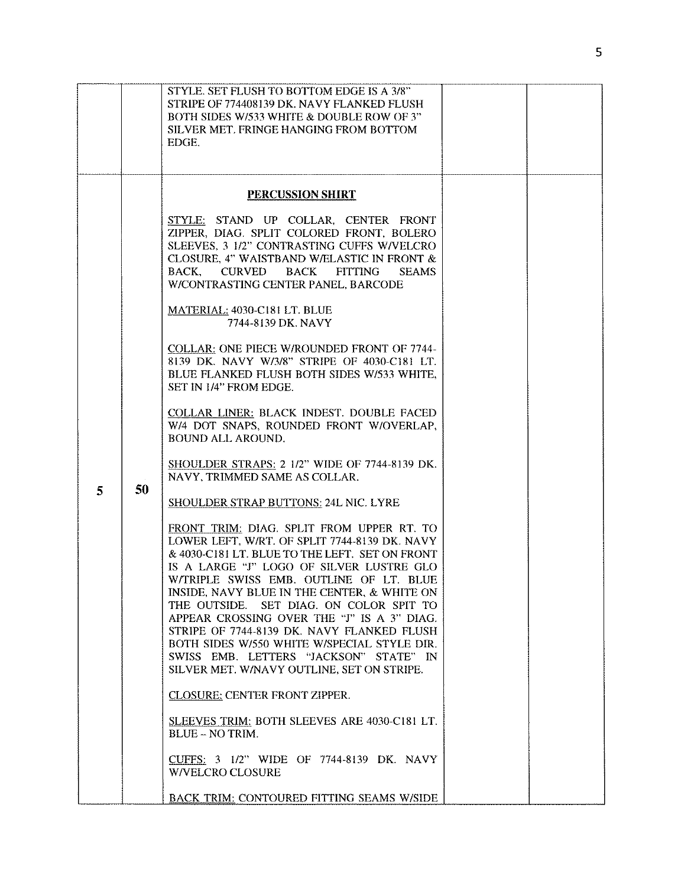|              |    | STYLE. SET FLUSH TO BOTTOM EDGE IS A 3/8"<br>STRIPE OF 774408139 DK. NAVY FLANKED FLUSH<br>BOTH SIDES W/533 WHITE & DOUBLE ROW OF 3"<br>SILVER MET. FRINGE HANGING FROM BOTTOM<br>EDGE.                                                                                                                                                                                                                                                                                                                                                                          |  |
|--------------|----|------------------------------------------------------------------------------------------------------------------------------------------------------------------------------------------------------------------------------------------------------------------------------------------------------------------------------------------------------------------------------------------------------------------------------------------------------------------------------------------------------------------------------------------------------------------|--|
|              |    | <b>PERCUSSION SHIRT</b>                                                                                                                                                                                                                                                                                                                                                                                                                                                                                                                                          |  |
|              |    | STYLE: STAND UP COLLAR, CENTER FRONT<br>ZIPPER, DIAG. SPLIT COLORED FRONT, BOLERO<br>SLEEVES, 3 1/2" CONTRASTING CUFFS W/VELCRO<br>CLOSURE, 4" WAISTBAND W/ELASTIC IN FRONT &<br>BACK, CURVED<br>BACK FITTING<br><b>SEAMS</b><br>W/CONTRASTING CENTER PANEL, BARCODE                                                                                                                                                                                                                                                                                             |  |
|              |    | MATERIAL: 4030-C181 LT. BLUE<br>7744-8139 DK, NAVY                                                                                                                                                                                                                                                                                                                                                                                                                                                                                                               |  |
|              |    | <b>COLLAR: ONE PIECE W/ROUNDED FRONT OF 7744-</b><br>8139 DK, NAVY W/3/8" STRIPE OF 4030-C181 LT.<br>BLUE FLANKED FLUSH BOTH SIDES W/533 WHITE.<br>SET IN 1/4" FROM EDGE.                                                                                                                                                                                                                                                                                                                                                                                        |  |
|              |    | COLLAR LINER: BLACK INDEST. DOUBLE FACED<br>W/4 DOT SNAPS, ROUNDED FRONT W/OVERLAP,<br><b>BOUND ALL AROUND.</b>                                                                                                                                                                                                                                                                                                                                                                                                                                                  |  |
| $\mathbf{5}$ | 50 | SHOULDER STRAPS: 2 1/2" WIDE OF 7744-8139 DK.<br>NAVY, TRIMMED SAME AS COLLAR.                                                                                                                                                                                                                                                                                                                                                                                                                                                                                   |  |
|              |    | SHOULDER STRAP BUTTONS: 24L NIC. LYRE                                                                                                                                                                                                                                                                                                                                                                                                                                                                                                                            |  |
|              |    | FRONT TRIM: DIAG. SPLIT FROM UPPER RT. TO<br>LOWER LEFT, W/RT. OF SPLIT 7744-8139 DK. NAVY<br>& 4030-C181 LT. BLUE TO THE LEFT. SET ON FRONT<br>IS A LARGE "J" LOGO OF SILVER LUSTRE GLO<br>W/TRIPLE SWISS EMB. OUTLINE OF LT. BLUE<br>INSIDE, NAVY BLUE IN THE CENTER, & WHITE ON<br>THE OUTSIDE. SET DIAG. ON COLOR SPIT TO<br>APPEAR CROSSING OVER THE "J" IS A 3" DIAG.<br>STRIPE OF 7744-8139 DK. NAVY FLANKED FLUSH<br>BOTH SIDES W/550 WHITE W/SPECIAL STYLE DIR.<br>SWISS EMB. LETTERS "JACKSON" STATE" IN<br>SILVER MET. W/NAVY OUTLINE, SET ON STRIPE. |  |
|              |    | <b>CLOSURE: CENTER FRONT ZIPPER.</b>                                                                                                                                                                                                                                                                                                                                                                                                                                                                                                                             |  |
|              |    | <b>SLEEVES TRIM: BOTH SLEEVES ARE 4030-C181 LT.</b><br><b>BLUE - NO TRIM.</b>                                                                                                                                                                                                                                                                                                                                                                                                                                                                                    |  |
|              |    | CUFFS: 3 1/2" WIDE OF 7744-8139 DK. NAVY<br><b>W/VELCRO CLOSURE</b>                                                                                                                                                                                                                                                                                                                                                                                                                                                                                              |  |
|              |    | <b>BACK TRIM: CONTOURED FITTING SEAMS W/SIDE</b>                                                                                                                                                                                                                                                                                                                                                                                                                                                                                                                 |  |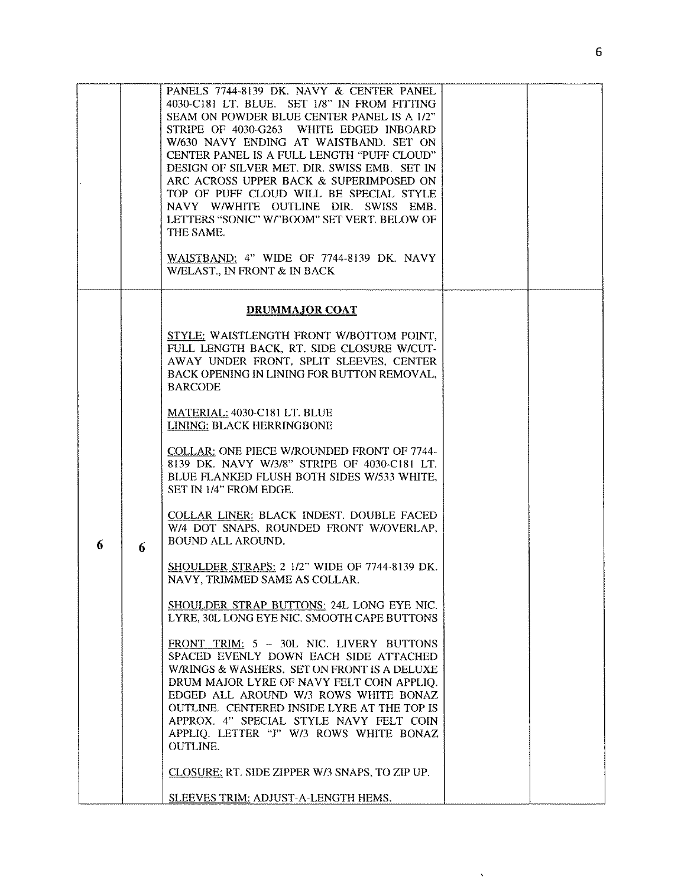|   |   | PANELS 7744-8139 DK. NAVY & CENTER PANEL<br>4030-C181 LT. BLUE. SET 1/8" IN FROM FITTING<br>SEAM ON POWDER BLUE CENTER PANEL IS A 1/2"<br>STRIPE OF 4030-G263 WHITE EDGED INBOARD<br>W/630 NAVY ENDING AT WAISTBAND. SET ON<br>CENTER PANEL IS A FULL LENGTH "PUFF CLOUD"<br>DESIGN OF SILVER MET. DIR. SWISS EMB. SET IN<br>ARC ACROSS UPPER BACK & SUPERIMPOSED ON<br>TOP OF PUFF CLOUD WILL BE SPECIAL STYLE<br>NAVY W/WHITE OUTLINE DIR. SWISS EMB.<br>LETTERS "SONIC" W/"BOOM" SET VERT. BELOW OF<br>THE SAME.<br>WAISTBAND: 4" WIDE OF 7744-8139 DK. NAVY<br>W/ELAST., IN FRONT & IN BACK |  |
|---|---|-------------------------------------------------------------------------------------------------------------------------------------------------------------------------------------------------------------------------------------------------------------------------------------------------------------------------------------------------------------------------------------------------------------------------------------------------------------------------------------------------------------------------------------------------------------------------------------------------|--|
|   |   | <b>DRUMMAJOR COAT</b>                                                                                                                                                                                                                                                                                                                                                                                                                                                                                                                                                                           |  |
|   | 6 | STYLE: WAISTLENGTH FRONT W/BOTTOM POINT,<br>FULL LENGTH BACK, RT. SIDE CLOSURE W/CUT-<br>AWAY UNDER FRONT, SPLIT SLEEVES, CENTER<br>BACK OPENING IN LINING FOR BUTTON REMOVAL,<br><b>BARCODE</b>                                                                                                                                                                                                                                                                                                                                                                                                |  |
|   |   | MATERIAL: 4030-C181 LT. BLUE<br>LINING: BLACK HERRINGBONE                                                                                                                                                                                                                                                                                                                                                                                                                                                                                                                                       |  |
|   |   | COLLAR: ONE PIECE W/ROUNDED FRONT OF 7744-<br>8139 DK. NAVY W/3/8" STRIPE OF 4030-C181 LT.<br>BLUE FLANKED FLUSH BOTH SIDES W/533 WHITE,<br>SET IN 1/4" FROM EDGE.                                                                                                                                                                                                                                                                                                                                                                                                                              |  |
| 6 |   | COLLAR LINER: BLACK INDEST. DOUBLE FACED<br>W/4 DOT SNAPS, ROUNDED FRONT W/OVERLAP,<br><b>BOUND ALL AROUND.</b>                                                                                                                                                                                                                                                                                                                                                                                                                                                                                 |  |
|   |   | SHOULDER STRAPS: 2 1/2" WIDE OF 7744-8139 DK.<br>NAVY, TRIMMED SAME AS COLLAR.                                                                                                                                                                                                                                                                                                                                                                                                                                                                                                                  |  |
|   |   | SHOULDER STRAP BUTTONS: 24L LONG EYE NIC.<br>LYRE, 30L LONG EYE NIC. SMOOTH CAPE BUTTONS                                                                                                                                                                                                                                                                                                                                                                                                                                                                                                        |  |
|   |   | FRONT TRIM: 5 - 30L NIC. LIVERY BUTTONS<br>SPACED EVENLY DOWN EACH SIDE ATTACHED<br>W/RINGS & WASHERS. SET ON FRONT IS A DELUXE<br>DRUM MAJOR LYRE OF NAVY FELT COIN APPLIQ.<br>EDGED ALL AROUND W/3 ROWS WHITE BONAZ<br>OUTLINE. CENTERED INSIDE LYRE AT THE TOP IS<br>APPROX. 4" SPECIAL STYLE NAVY FELT COIN<br>APPLIQ. LETTER "J" W/3 ROWS WHITE BONAZ<br><b>OUTLINE.</b>                                                                                                                                                                                                                   |  |
|   |   | CLOSURE: RT. SIDE ZIPPER W/3 SNAPS, TO ZIP UP.                                                                                                                                                                                                                                                                                                                                                                                                                                                                                                                                                  |  |
|   |   | SLEEVES TRIM: ADJUST-A-LENGTH HEMS.                                                                                                                                                                                                                                                                                                                                                                                                                                                                                                                                                             |  |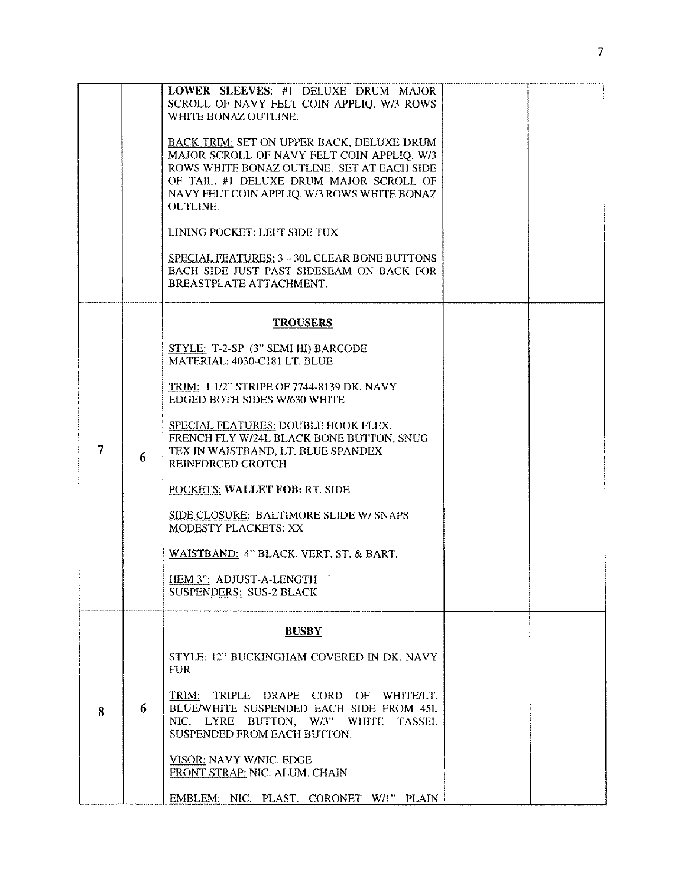|   |   | LOWER SLEEVES: #1 DELUXE DRUM MAJOR<br>SCROLL OF NAVY FELT COIN APPLIQ. W/3 ROWS<br>WHITE BONAZ OUTLINE.                                                        |  |
|---|---|-----------------------------------------------------------------------------------------------------------------------------------------------------------------|--|
|   |   | <b>BACK TRIM: SET ON UPPER BACK, DELUXE DRUM</b><br>MAJOR SCROLL OF NAVY FELT COIN APPLIQ. W/3                                                                  |  |
|   |   | ROWS WHITE BONAZ OUTLINE. SET AT EACH SIDE                                                                                                                      |  |
|   |   | OF TAIL, #1 DELUXE DRUM MAJOR SCROLL OF<br>NAVY FELT COIN APPLIQ. W/3 ROWS WHITE BONAZ<br><b>OUTLINE.</b>                                                       |  |
|   |   | LINING POCKET: LEFT SIDE TUX                                                                                                                                    |  |
|   |   | SPECIAL FEATURES: 3 - 30L CLEAR BONE BUTTONS<br>EACH SIDE JUST PAST SIDESEAM ON BACK FOR<br>BREASTPLATE ATTACHMENT.                                             |  |
|   |   | <b>TROUSERS</b>                                                                                                                                                 |  |
| 7 | 6 | STYLE: T-2-SP (3" SEMI HI) BARCODE<br>MATERIAL: 4030-C181 LT. BLUE                                                                                              |  |
|   |   | TRIM: 1 1/2" STRIPE OF 7744-8139 DK. NAVY<br>EDGED BOTH SIDES W/630 WHITE                                                                                       |  |
|   |   | SPECIAL FEATURES: DOUBLE HOOK FLEX,<br>FRENCH FLY W/24L BLACK BONE BUTTON, SNUG<br>TEX IN WAISTBAND, LT. BLUE SPANDEX<br><b>REINFORCED CROTCH</b>               |  |
|   |   | POCKETS: WALLET FOB: RT. SIDE                                                                                                                                   |  |
|   |   | SIDE CLOSURE: BALTIMORE SLIDE W/ SNAPS<br><b>MODESTY PLACKETS: XX</b>                                                                                           |  |
|   |   | WAISTBAND: 4" BLACK, VERT. ST. & BART.                                                                                                                          |  |
|   |   | HEM 3": ADJUST-A-LENGTH<br><b>SUSPENDERS: SUS-2 BLACK</b>                                                                                                       |  |
|   |   | <b>BUSBY</b>                                                                                                                                                    |  |
| 8 | 6 | STYLE: 12" BUCKINGHAM COVERED IN DK. NAVY<br><b>FUR</b>                                                                                                         |  |
|   |   | TRIM: TRIPLE DRAPE CORD OF WHITE/LT.<br>BLUE/WHITE SUSPENDED EACH SIDE FROM 45L<br>NIC. LYRE BUTTON, W/3" WHITE<br><b>TASSEL</b><br>SUSPENDED FROM EACH BUTTON. |  |
|   |   | <b>VISOR: NAVY W/NIC. EDGE</b><br>FRONT STRAP: NIC. ALUM. CHAIN                                                                                                 |  |
|   |   | EMBLEM: NIC. PLAST. CORONET W/1" PLAIN                                                                                                                          |  |